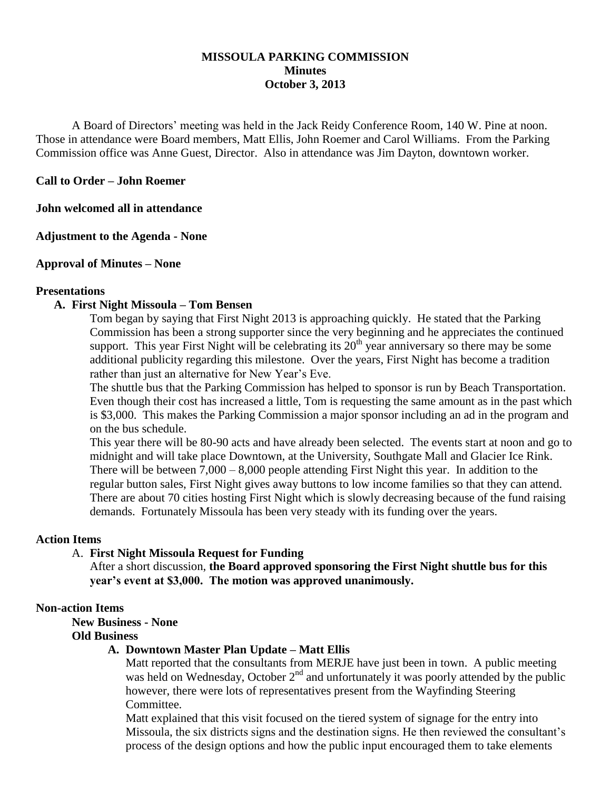# **MISSOULA PARKING COMMISSION Minutes October 3, 2013**

A Board of Directors' meeting was held in the Jack Reidy Conference Room, 140 W. Pine at noon. Those in attendance were Board members, Matt Ellis, John Roemer and Carol Williams. From the Parking Commission office was Anne Guest, Director. Also in attendance was Jim Dayton, downtown worker.

## **Call to Order – John Roemer**

**John welcomed all in attendance**

**Adjustment to the Agenda - None**

### **Approval of Minutes – None**

#### **Presentations**

### **A. First Night Missoula – Tom Bensen**

Tom began by saying that First Night 2013 is approaching quickly. He stated that the Parking Commission has been a strong supporter since the very beginning and he appreciates the continued support. This year First Night will be celebrating its  $20<sup>th</sup>$  year anniversary so there may be some additional publicity regarding this milestone. Over the years, First Night has become a tradition rather than just an alternative for New Year's Eve.

The shuttle bus that the Parking Commission has helped to sponsor is run by Beach Transportation. Even though their cost has increased a little, Tom is requesting the same amount as in the past which is \$3,000. This makes the Parking Commission a major sponsor including an ad in the program and on the bus schedule.

This year there will be 80-90 acts and have already been selected. The events start at noon and go to midnight and will take place Downtown, at the University, Southgate Mall and Glacier Ice Rink. There will be between 7,000 – 8,000 people attending First Night this year. In addition to the regular button sales, First Night gives away buttons to low income families so that they can attend. There are about 70 cities hosting First Night which is slowly decreasing because of the fund raising demands. Fortunately Missoula has been very steady with its funding over the years.

#### **Action Items**

#### A. **First Night Missoula Request for Funding**

After a short discussion, **the Board approved sponsoring the First Night shuttle bus for this year's event at \$3,000. The motion was approved unanimously.**

#### **Non-action Items**

**New Business - None**

#### **Old Business**

## **A. Downtown Master Plan Update – Matt Ellis**

Matt reported that the consultants from MERJE have just been in town. A public meeting was held on Wednesday, October  $2<sup>nd</sup>$  and unfortunately it was poorly attended by the public however, there were lots of representatives present from the Wayfinding Steering Committee.

Matt explained that this visit focused on the tiered system of signage for the entry into Missoula, the six districts signs and the destination signs. He then reviewed the consultant's process of the design options and how the public input encouraged them to take elements